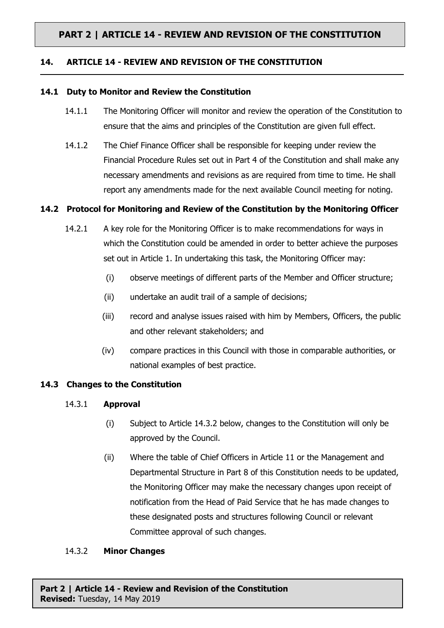# **PART 2 | ARTICLE 14 - REVIEW AND REVISION OF THE CONSTITUTION**

### **14. ARTICLE 14 - REVIEW AND REVISION OF THE CONSTITUTION**

### **14.1 Duty to Monitor and Review the Constitution**

- 14.1.1 The Monitoring Officer will monitor and review the operation of the Constitution to ensure that the aims and principles of the Constitution are given full effect.
- 14.1.2 The Chief Finance Officer shall be responsible for keeping under review the Financial Procedure Rules set out in Part 4 of the Constitution and shall make any necessary amendments and revisions as are required from time to time. He shall report any amendments made for the next available Council meeting for noting.

### **14.2 Protocol for Monitoring and Review of the Constitution by the Monitoring Officer**

- 14.2.1 A key role for the Monitoring Officer is to make recommendations for ways in which the Constitution could be amended in order to better achieve the purposes set out in Article 1. In undertaking this task, the Monitoring Officer may:
	- (i) observe meetings of different parts of the Member and Officer structure;
	- (ii) undertake an audit trail of a sample of decisions;
	- (iii) record and analyse issues raised with him by Members, Officers, the public and other relevant stakeholders; and
	- (iv) compare practices in this Council with those in comparable authorities, or national examples of best practice.

### **14.3 Changes to the Constitution**

- 14.3.1 **Approval**
	- (i) Subject to Article 14.3.2 below, changes to the Constitution will only be approved by the Council.
	- (ii) Where the table of Chief Officers in Article 11 or the Management and Departmental Structure in Part 8 of this Constitution needs to be updated, the Monitoring Officer may make the necessary changes upon receipt of notification from the Head of Paid Service that he has made changes to these designated posts and structures following Council or relevant Committee approval of such changes.

### 14.3.2 **Minor Changes**